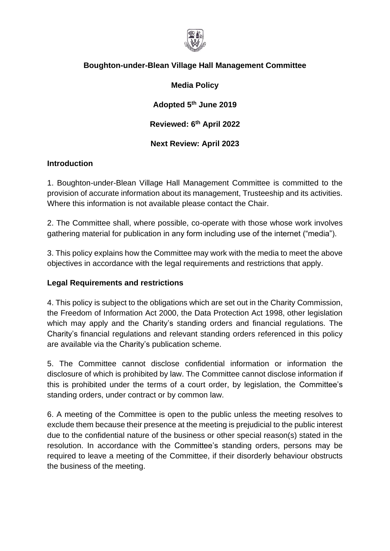

# **Boughton-under-Blean Village Hall Management Committee**

### **Media Policy**

**Adopted 5th June 2019**

**Reviewed: 6 th April 2022**

**Next Review: April 2023**

### **Introduction**

1. Boughton-under-Blean Village Hall Management Committee is committed to the provision of accurate information about its management, Trusteeship and its activities. Where this information is not available please contact the Chair.

2. The Committee shall, where possible, co-operate with those whose work involves gathering material for publication in any form including use of the internet ("media").

3. This policy explains how the Committee may work with the media to meet the above objectives in accordance with the legal requirements and restrictions that apply.

#### **Legal Requirements and restrictions**

4. This policy is subject to the obligations which are set out in the Charity Commission, the Freedom of Information Act 2000, the Data Protection Act 1998, other legislation which may apply and the Charity's standing orders and financial regulations. The Charity's financial regulations and relevant standing orders referenced in this policy are available via the Charity's publication scheme.

5. The Committee cannot disclose confidential information or information the disclosure of which is prohibited by law. The Committee cannot disclose information if this is prohibited under the terms of a court order, by legislation, the Committee's standing orders, under contract or by common law.

6. A meeting of the Committee is open to the public unless the meeting resolves to exclude them because their presence at the meeting is prejudicial to the public interest due to the confidential nature of the business or other special reason(s) stated in the resolution. In accordance with the Committee's standing orders, persons may be required to leave a meeting of the Committee, if their disorderly behaviour obstructs the business of the meeting.